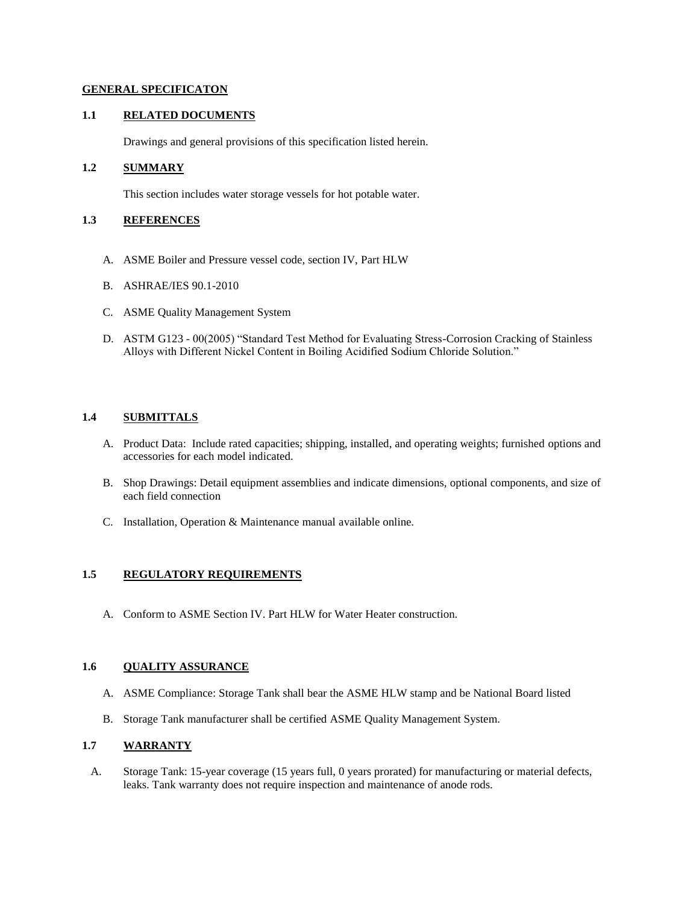### **GENERAL SPECIFICATON**

### **1.1 RELATED DOCUMENTS**

Drawings and general provisions of this specification listed herein.

## **1.2 SUMMARY**

This section includes water storage vessels for hot potable water.

## **1.3 REFERENCES**

- A. ASME Boiler and Pressure vessel code, section IV, Part HLW
- B. ASHRAE/IES 90.1-2010
- C. ASME Quality Management System
- D. ASTM G123 00(2005) "Standard Test Method for Evaluating Stress-Corrosion Cracking of Stainless Alloys with Different Nickel Content in Boiling Acidified Sodium Chloride Solution."

## **1.4 SUBMITTALS**

- A. Product Data: Include rated capacities; shipping, installed, and operating weights; furnished options and accessories for each model indicated.
- B. Shop Drawings: Detail equipment assemblies and indicate dimensions, optional components, and size of each field connection
- C. Installation, Operation & Maintenance manual available online.

## **1.5 REGULATORY REQUIREMENTS**

A. Conform to ASME Section IV. Part HLW for Water Heater construction.

## **1.6 QUALITY ASSURANCE**

- A. ASME Compliance: Storage Tank shall bear the ASME HLW stamp and be National Board listed
- B. Storage Tank manufacturer shall be certified ASME Quality Management System.

## **1.7 WARRANTY**

A. Storage Tank: 15-year coverage (15 years full, 0 years prorated) for manufacturing or material defects, leaks. Tank warranty does not require inspection and maintenance of anode rods.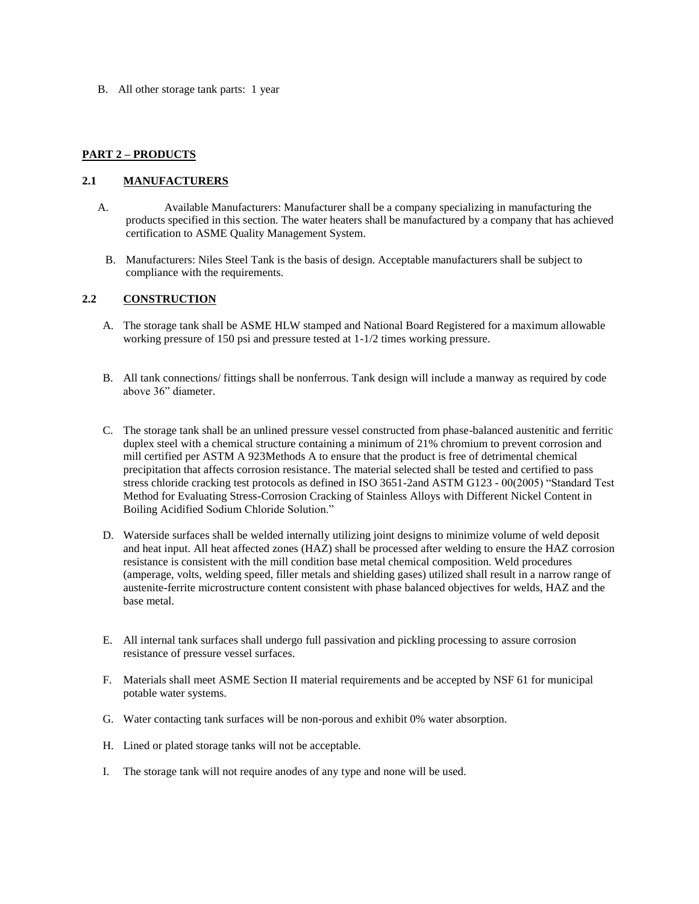B. All other storage tank parts: 1 year

# **PART 2 – PRODUCTS**

## **2.1 MANUFACTURERS**

- A. Available Manufacturers: Manufacturer shall be a company specializing in manufacturing the products specified in this section. The water heaters shall be manufactured by a company that has achieved certification to ASME Quality Management System.
- B. Manufacturers: Niles Steel Tank is the basis of design. Acceptable manufacturers shall be subject to compliance with the requirements.

# **2.2 CONSTRUCTION**

- A. The storage tank shall be ASME HLW stamped and National Board Registered for a maximum allowable working pressure of 150 psi and pressure tested at 1-1/2 times working pressure.
- B. All tank connections/ fittings shall be nonferrous. Tank design will include a manway as required by code above 36" diameter.
- C. The storage tank shall be an unlined pressure vessel constructed from phase-balanced austenitic and ferritic duplex steel with a chemical structure containing a minimum of 21% chromium to prevent corrosion and mill certified per ASTM A 923Methods A to ensure that the product is free of detrimental chemical precipitation that affects corrosion resistance. The material selected shall be tested and certified to pass stress chloride cracking test protocols as defined in ISO 3651-2and ASTM G123 - 00(2005) "Standard Test Method for Evaluating Stress-Corrosion Cracking of Stainless Alloys with Different Nickel Content in Boiling Acidified Sodium Chloride Solution."
- D. Waterside surfaces shall be welded internally utilizing joint designs to minimize volume of weld deposit and heat input. All heat affected zones (HAZ) shall be processed after welding to ensure the HAZ corrosion resistance is consistent with the mill condition base metal chemical composition. Weld procedures (amperage, volts, welding speed, filler metals and shielding gases) utilized shall result in a narrow range of austenite-ferrite microstructure content consistent with phase balanced objectives for welds, HAZ and the base metal.
- E. All internal tank surfaces shall undergo full passivation and pickling processing to assure corrosion resistance of pressure vessel surfaces.
- F. Materials shall meet ASME Section II material requirements and be accepted by NSF 61 for municipal potable water systems.
- G. Water contacting tank surfaces will be non-porous and exhibit 0% water absorption.
- H. Lined or plated storage tanks will not be acceptable.
- I. The storage tank will not require anodes of any type and none will be used.